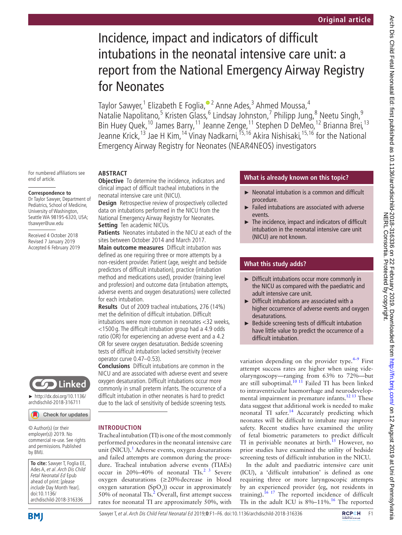# Incidence, impact and indicators of difficult intubations in the neonatal intensive care unit: a report from the National Emergency Airway Registry for Neonates

TaylorSawyer,<sup>1</sup> Elizabeth E Foglia,<sup>® 2</sup> Anne Ades,<sup>3</sup> Ahmed Moussa,<sup>4</sup> Natalie Napolitano,<sup>5</sup> Kristen Glass,<sup>6</sup> Lindsay Johnston,<sup>7</sup> Philipp Jung,<sup>8</sup> Neetu Singh,<sup>9</sup> Bin Huey Quek,<sup>10</sup> James Barry,<sup>11</sup> Jeanne Zenge,<sup>11</sup> Stephen D DeMeo,<sup>12</sup> Brianna Brei,<sup>13</sup> Jeanne Krick,<sup>13</sup> Jae H Kim,<sup>14</sup> Vinay Nadkarni,<sup>15,16</sup> Akira Nishisaki,<sup>15,16</sup> for the National Emergency Airway Registry for Neonates (NEAR4NEOS) investigators

#### **Abstract**

**Objective** To determine the incidence, indicators and clinical impact of difficult tracheal intubations in the neonatal intensive care unit (NICU).

**Design** Retrospective review of prospectively collected data on intubations performed in the NICU from the National Emergency Airway Registry for Neonates. **Setting** Ten academic NICUs.

**Patients** Neonates intubated in the NICU at each of the sites between October 2014 and March 2017.

**Main outcome measures** Difficult intubation was defined as one requiring three or more attempts by a non-resident provider. Patient (age, weight and bedside predictors of difficult intubation), practice (intubation method and medications used), provider (training level and profession) and outcome data (intubation attempts, adverse events and oxygen desaturations) were collected for each intubation.

**Results** Out of 2009 tracheal intubations, 276 (14%) met the definition of difficult intubation. Difficult intubations were more common in neonates <32 weeks, <1500 g. The difficult intubation group had a 4.9 odds ratio (OR) for experiencing an adverse event and a 4.2 OR for severe oxygen desaturation. Bedside screening tests of difficult intubation lacked sensitivity (receiver operator curve 0.47–0.53).

**Conclusions** Difficult intubations are common in the NICU and are associated with adverse event and severe oxygen desaturation. Difficult intubations occur more commonly in small preterm infants. The occurrence of a difficult intubation in other neonates is hard to predict due to the lack of sensitivity of bedside screening tests.

Tracheal intubation (TI) is one of the most commonly performed procedures in the neonatal intensive care unit (NICU).<sup>1</sup> Adverse events, oxygen desaturations and failed attempts are common during the procedure. Tracheal intubation adverse events (TIAEs) occur in 20%–40% of neonatal  $TIs.<sup>2-3</sup>$  Severe oxygen desaturations (≥20%decrease in blood oxygen saturation  $(SpO<sub>2</sub>)$ ) occur in approximately 50% of neonatal TIs. ${}^{2}$  ${}^{2}$  ${}^{2}$  Overall, first attempt success rates for neonatal TI are approximately 50%, with

# **Introduction**

© Author(s) (or their employer(s)) 2019. No commercial re-use. See rights and permissions. Published by BMJ.

► [http://dx.doi.org/10.1136/](http://dx.doi.org/10.1136/archdischild-2018-316711) [archdischild-2018-316711](http://dx.doi.org/10.1136/archdischild-2018-316711)

Check for updates

Linked

For numbered affiliations see

**Correspondence to** Dr Taylor Sawyer, Department of Pediatrics, School of Medicine, University of Washington, Seattle WA 98195-6320, USA;

tlsawyer@uw.edu

Received 4 October 2018 Revised 7 January 2019 Accepted 6 February 2019

end of article.

**To cite:** Sawyer T, Foglia EE, Ades A, et al. Arch Dis Child Fetal Neonatal Ed Epub ahead of print: [please include Day Month Year]. doi:10.1136/ archdischild-2018-316336

SawyerT, et al. Arch Dis Child Fetal Neonatal Ed 2019;0:F1–F6. doi:10.1136/archdischild-2018-316336 **FCPCH** F1



**What is already known on this topic?**

- ► Neonatal intubation is a common and difficult procedure.
- Failed intubations are associated with adverse events.
- The incidence, impact and indicators of difficult intubation in the neonatal intensive care unit (NICU) are not known.

# **What this study adds?**

- ► Difficult intubations occur more commonly in the NICU as compared with the paediatric and adult intensive care unit.
- ► Difficult intubations are associated with a higher occurrence of adverse events and oxygen desaturations.
- ► Bedside screening tests of difficult intubation have little value to predict the occurrence of a difficult intubation.

variation depending on the provider type. $4-9$  First attempt success rates are higher when using videolaryngoscopy—ranging from 63% to 72%—but are still suboptimal.<sup>[10 11](#page-5-3)</sup> Failed TI has been linked to intraventricular haemorrhage and neurodevelopmental impairment in premature infants.<sup>12 13</sup> These data suggest that additional work is needed to make neonatal TI safer.<sup>14</sup> Accurately predicting which neonates will be difficult to intubate may improve safety. Recent studies have examined the utility of fetal biometric parameters to predict difficult TI in periviable neonates at birth.<sup>15</sup> However, no prior studies have examined the utility of bedside screening tests of difficult intubation in the NICU.

In the adult and paediatric intensive care unit (ICU), a 'difficult intubation' is defined as one requiring three or more laryngoscopic attempts by an experienced provider (eg, not residents in training).<sup>16 17</sup> The reported incidence of difficult TIs in the adult ICU is  $8\% - 11\%$ .<sup>16</sup> The reported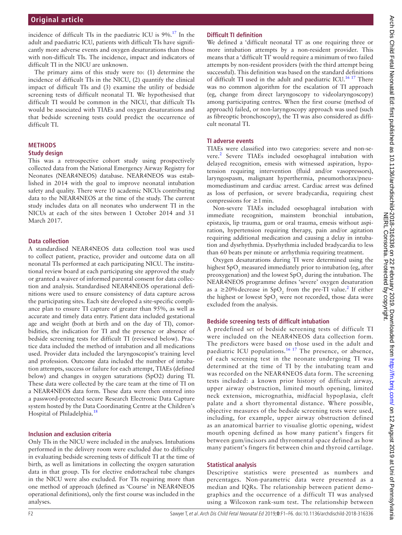incidence of difficult TIs in the paediatric ICU is 9%.[17](#page-5-8) In the adult and paediatric ICU, patients with difficult TIs have significantly more adverse events and oxygen desaturations than those with non-difficult TIs. The incidence, impact and indicators of difficult TI in the NICU are unknown.

The primary aims of this study were to: (1) determine the incidence of difficult TIs in the NICU, (2) quantify the clinical impact of difficult TIs and (3) examine the utility of bedside screening tests of difficult neonatal TI. We hypothesised that difficult TI would be common in the NICU, that difficult TIs would be associated with TIAEs and oxygen desaturations and that bedside screening tests could predict the occurrence of difficult TI.

### **Methods**

#### **Study design**

This was a retrospective cohort study using prospectively collected data from the National Emergency Airway Registry for Neonates (NEAR4NEOS) database. NEAR4NEOS was established in 2014 with the goal to improve neonatal intubation safety and quality. There were 10 academic NICUs contributing data to the NEAR4NEOS at the time of the study. The current study includes data on all neonates who underwent TI in the NICUs at each of the sites between 1 October 2014 and 31 March 2017.

#### **Data collection**

A standardised NEAR4NEOS data collection tool was used to collect patient, practice, provider and outcome data on all neonatal TIs performed at each participating NICU. The institutional review board at each participating site approved the study or granted a waiver of informed parental consent for data collection and analysis. Standardised NEAR4NEOS operational definitions were used to ensure consistency of data capture across the participating sites. Each site developed a site-specific compliance plan to ensure TI capture of greater than 95%, as well as accurate and timely data entry. Patient data included gestational age and weight (both at birth and on the day of TI), comorbidities, the indication for TI and the presence or absence of bedside screening tests for difficult TI (reviewed below). Practice data included the method of intubation and all medications used. Provider data included the laryngoscopist's training level and profession. Outcome data included the number of intubation attempts, success or failure for each attempt, TIAEs (defined below) and changes in oxygen saturations (SpO2) during TI. These data were collected by the care team at the time of TI on a NEAR4NEOS data form. These data were then entered into a password-protected secure Research Electronic Data Capture system hosted by the Data Coordinating Centre at the Children's Hospital of Philadelphia.<sup>18</sup>

#### **Inclusion and exclusion criteria**

Only TIs in the NICU were included in the analyses. Intubations performed in the delivery room were excluded due to difficulty in evaluating bedside screening tests of difficult TI at the time of birth, as well as limitations in collecting the oxygen saturation data in that group. TIs for elective endotracheal tube changes in the NICU were also excluded. For TIs requiring more than one method of approach (defined as 'Course' in NEAR4NEOS operational definitions), only the first course was included in the analyses.

#### **Difficult TI definition**

We defined a 'difficult neonatal TI' as one requiring three or more intubation attempts by a non-resident provider. This means that a 'difficult TI' would require a minimum of two failed attempts by non-resident providers (with the third attempt being successful). This definition was based on the standard definitions of difficult TI used in the adult and paediatric ICU.<sup>[16 17](#page-5-7)</sup> There was no common algorithm for the escalation of TI approach (eg, change from direct laryngoscopy to videolaryngoscopy) among participating centres. When the first course (method of approach) failed, or non-laryngoscopy approach was used (such as fibreoptic bronchoscopy), the TI was also considered as difficult neonatal TI.

#### **TI adverse events**

TIAEs were classified into two categories: severe and non-severe.<sup>2</sup> Severe TIAEs included oesophageal intubation with delayed recognition, emesis with witnessed aspiration, hypotension requiring intervention (fluid and/or vasopressors), laryngospasm, malignant hyperthermia, pneumothorax/pneumomediastinum and cardiac arrest. Cardiac arrest was defined as loss of perfusion, or severe bradycardia, requiring chest compressions for  $\geq 1$  min.

Non-severe TIAEs included oesophageal intubation with immediate recognition, mainstem bronchial intubation, epistaxis, lip trauma, gum or oral trauma, emesis without aspiration, hypertension requiring therapy, pain and/or agitation requiring additional medication and causing a delay in intubation and dysrhythmia. Dysrhythmia included bradycardia to less than 60 beats per minute or arrhythmia requiring treatment.

Oxygen desaturations during TI were determined using the highest SpO<sub>2</sub> measured immediately prior to intubation (eg, after preoxygenation) and the lowest  $\text{SpO}_2$  during the intubation. The NEAR4NEOS programme defines 'severe' oxygen desaturation as a  $\geq$  [2](#page-5-1)0% decrease in SpO<sub>2</sub> from the pre-TI value.<sup>2</sup> If either the highest or lowest  $\text{SpO}_2$  were not recorded, those data were excluded from the analysis.

#### **Bedside screening tests of difficult intubation**

A predefined set of bedside screening tests of difficult TI were included on the NEAR4NEOS data collection form. The predictors were based on those used in the adult and paediatric ICU populations.<sup>16-17</sup> The presence, or absence, of each screening test in the neonate undergoing TI was determined at the time of TI by the intubating team and was recorded on the NEAR4NEOS data form. The screening tests included: a known prior history of difficult airway, upper airway obstruction, limited mouth opening, limited neck extension, micrognathia, midfacial hypoplasia, cleft palate and a short thyromental distance. Where possible, objective measures of the bedside screening tests were used, including, for example, upper airway obstruction defined as an anatomical barrier to visualise glottic opening, widest mouth opening defined as how many patient's fingers fit between gum/incisors and thyromental space defined as how many patient's fingers fit between chin and thyroid cartilage.

#### **Statistical analysis**

Descriptive statistics were presented as numbers and percentages. Non-parametric data were presented as a median and IQRs. The relationship between patient demographics and the occurrence of a difficult TI was analysed using a Wilcoxon rank-sum test. The relationship between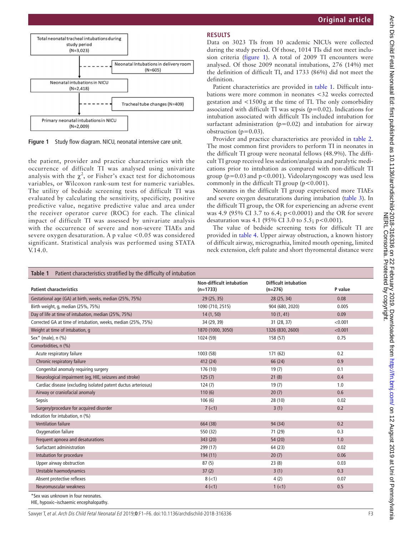

<span id="page-2-0"></span>**Figure 1** Study flow diagram. NICU, neonatal intensive care unit.

the patient, provider and practice characteristics with the occurrence of difficult TI was analysed using univariate analysis with the  $\chi^2$ , or Fisher's exact test for dichotomous variables, or Wilcoxon rank-sum test for numeric variables. The utility of bedside screening tests of difficult TI was evaluated by calculating the sensitivity, specificity, positive predictive value, negative predictive value and area under the receiver operator curve (ROC) for each. The clinical impact of difficult TI was assessed by univariate analysis with the occurrence of severe and non-severe TIAEs and severe oxygen desaturation. A p value  $< 0.05$  was considered significant. Statistical analysis was performed using STATA V.14.0.

#### **Results**

Data on 3023 TIs from 10 academic NICUs were collected during the study period. Of those, 1014 TIs did not meet inclusion criteria [\(figure](#page-2-0) 1). A total of 2009 TI encounters were analysed. Of those 2009 neonatal intubations, 276 (14%) met the definition of difficult TI, and 1733 (86%) did not meet the definition.

Patient characteristics are provided in [table](#page-2-1) 1. Difficult intubations were more common in neonates <32 weeks corrected gestation and <1500g at the time of TI. The only comorbidity associated with difficult TI was sepsis ( $p=0.02$ ). Indications for intubation associated with difficult TIs included intubation for surfactant administration ( $p=0.02$ ) and intubation for airway obstruction ( $p=0.03$ ).

Provider and practice characteristics are provided in [table](#page-3-0) 2. The most common first providers to perform TI in neonates in the difficult TI group were neonatal fellows (48.9%). The difficult TI group received less sedation/analgesia and paralytic medications prior to intubation as compared with non-difficult TI group ( $p=0.03$  and  $p<0.001$ ). Videolaryngoscopy was used less commonly in the difficult TI group  $(p<0.001)$ .

Neonates in the difficult TI group experienced more TIAEs and severe oxygen desaturations during intubation [\(table](#page-3-1) 3). In the difficult TI group, the OR for experiencing an adverse event was 4.9 (95% CI 3.7 to 6.4; p<0.0001) and the OR for severe desaturation was 4.1 (95% CI 3.0 to 5.5; p<0.001).

The value of bedside screening tests for difficult TI are provided in [table](#page-4-0) 4. Upper airway obstruction, a known history of difficult airway, micrognathia, limited mouth opening, limited neck extension, cleft palate and short thyromental distance were

<span id="page-2-1"></span>

| Patient characteristics stratified by the difficulty of intubation<br>Table 1 |                                               |                                          |         |  |  |
|-------------------------------------------------------------------------------|-----------------------------------------------|------------------------------------------|---------|--|--|
| <b>Patient characteristics</b>                                                | <b>Non-difficult intubation</b><br>$(n=1733)$ | <b>Difficult intubation</b><br>$(n=276)$ | P value |  |  |
| Gestational age (GA) at birth, weeks, median (25%, 75%)                       | 29(25, 35)                                    | 28 (25, 34)                              | 0.08    |  |  |
| Birth weight, g, median (25%, 75%)                                            | 1090 (710, 2515)                              | 904 (680, 2020)                          | 0.005   |  |  |
| Day of life at time of intubation, median (25%, 75%)                          | 14(1, 50)                                     | 10(1, 41)                                | 0.09    |  |  |
| Corrected GA at time of intubation, weeks, median (25%, 75%)                  | 34 (29, 39)                                   | 31 (28, 37)                              | < 0.001 |  |  |
| Weight at time of intubation, g                                               | 1870 (1000, 3050)                             | 1326 (830, 2600)                         | < 0.001 |  |  |
| Sex* (male), $n$ (%)                                                          | 1024 (59)                                     | 158 (57)                                 | 0.75    |  |  |
| Comorbidities, n (%)                                                          |                                               |                                          |         |  |  |
| Acute respiratory failure                                                     | 1003 (58)                                     | 171 (62)                                 | 0.2     |  |  |
| Chronic respiratory failure                                                   | 412 (24)                                      | 66 (24)                                  | 0.9     |  |  |
| Congenital anomaly requiring surgery                                          | 176 (10)                                      | 19(7)                                    | 0.1     |  |  |
| Neurological impairment (eg, HIE, seizures and stroke)                        | 125(7)                                        | 21(8)                                    | 0.4     |  |  |
| Cardiac disease (excluding isolated patent ductus arteriosus)                 | 124(7)                                        | 19(7)                                    | 1.0     |  |  |
| Airway or craniofacial anomaly                                                | 110(6)                                        | 20(7)                                    | 0.6     |  |  |
| Sepsis                                                                        | 106(6)                                        | 28 (10)                                  | 0.02    |  |  |
| Surgery/procedure for acquired disorder                                       | 7(1)                                          | 3(1)                                     | 0.2     |  |  |
| Indication for intubation, n (%)                                              |                                               |                                          |         |  |  |
| <b>Ventilation failure</b>                                                    | 664 (38)                                      | 94 (34)                                  | 0.2     |  |  |
| Oxygenation failure                                                           | 550 (32)                                      | 71 (29)                                  | 0.3     |  |  |
| Frequent apnoea and desaturations                                             | 343 (20)                                      | 54 (20)                                  | 1.0     |  |  |
| Surfactant administration                                                     | 299 (17)                                      | 64 (23)                                  | 0.02    |  |  |
| Intubation for procedure                                                      | 194 (11)                                      | 20(7)                                    | 0.06    |  |  |
| Upper airway obstruction                                                      | 87(5)                                         | 23(8)                                    | 0.03    |  |  |
| Unstable haemodynamics                                                        | 37(2)                                         | 3(1)                                     | 0.3     |  |  |
| Absent protective reflexes                                                    | $8(-1)$                                       | 4(2)                                     | 0.07    |  |  |
| Neuromuscular weakness                                                        | $4$ ( $<$ 1)                                  | 1 (< 1)                                  | 0.5     |  |  |
| *Sex was unknown in four neonates.                                            |                                               |                                          |         |  |  |

HIE, hypoxic–ischaemic encephalopathy.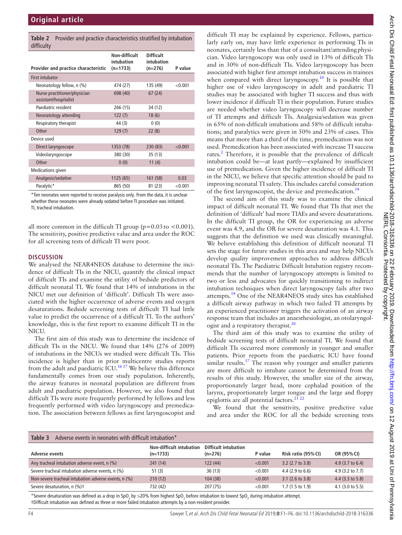<span id="page-3-0"></span>

|            | <b>Table 2</b> Provider and practice characteristics stratified by intubation |
|------------|-------------------------------------------------------------------------------|
| difficulty |                                                                               |

| umncurty                                              |                                           |                                             |         |
|-------------------------------------------------------|-------------------------------------------|---------------------------------------------|---------|
| Provider and practice characteristic                  | Non-difficult<br>intubation<br>$(n=1733)$ | <b>Difficult</b><br>intubation<br>$(n=276)$ | P value |
| <b>First intubator</b>                                |                                           |                                             |         |
| Neonatology fellow, n (%)                             | 474 (27)                                  | 135 (49)                                    | < 0.001 |
| Nurse practitioner/physician<br>assistant/hospitalist | 698 (40)                                  | 67(24)                                      |         |
| Paediatric resident                                   | 266 (15)                                  | 34 (12)                                     |         |
| Neonatology attending                                 | 122(7)                                    | 18(6)                                       |         |
| Respiratory therapist                                 | 44 (3)                                    | 0(0)                                        |         |
| Other                                                 | 129(7)                                    | 22(8)                                       |         |
| Device used                                           |                                           |                                             |         |
| Direct laryngoscope                                   | 1353 (78)                                 | 230 (83)                                    | < 0.001 |
| Videolaryngoscope                                     | 380 (30)                                  | 35 (13)                                     |         |
| Other                                                 | 0(0)                                      | 11(4)                                       |         |
| Medications given                                     |                                           |                                             |         |
| Analgesic/sedative                                    | 1125 (65)                                 | 161 (58)                                    | 0.03    |
| Paralytic*                                            | 865 (50)                                  | 81 (23)                                     | < 0.001 |

\*Ten neonates were reported to receive paralysis only. From the data, it is unclear whether these neonates were already sedated before TI procedure was initiated. TI, tracheal intubation.

all more common in the difficult TI group ( $p=0.03$  to  $<0.001$ ). The sensitivity, positive predictive value and area under the ROC for all screening tests of difficult TI were poor.

#### **Discussion**

We analysed the NEAR4NEOS database to determine the incidence of difficult TIs in the NICU, quantify the clinical impact of difficult TIs and examine the utility of bedside predictors of difficult neonatal TI. We found that 14% of intubations in the NICU met our definition of 'difficult'. Difficult TIs were associated with the higher occurrence of adverse events and oxygen desaturations. Bedside screening tests of difficult TI had little value to predict the occurrence of a difficult TI. To the authors' knowledge, this is the first report to examine difficult TI in the NICU.

The first aim of this study was to determine the incidence of difficult TIs in the NICU. We found that 14% (276 of 2009) of intubations in the NICUs we studied were difficult TIs. This incidence is higher than in prior multicentre studies reports from the adult and paediatric  $ICU<sup>16 17</sup>$  We believe this difference fundamentally comes from our study population. Inherently, the airway features in neonatal population are different from adult and paediatric population. However, we also found that difficult TIs were more frequently performed by fellows and less frequently performed with video laryngoscopy and premedication. The association between fellows as first laryngoscopist and

difficult TI may be explained by experience. Fellows, particularly early on, may have little experience in performing TIs in neonates, certainly less than that of a consultant/attendingphysician. Video laryngoscopy was only used in 13% of difficult TIs and in 30% of non-difficult TIs. Video laryngoscopy has been associated with higher first attempt intubation success in trainees when compared with direct laryngoscopy.<sup>10</sup> It is possible that higher use of video laryngoscopy in adult and paediatric TI studies may be associated with higher TI success and thus with lower incidence if difficult TI in their population. Future studies are needed whether video laryngoscopy will decrease number of TI attempts and difficult TIs. Analgesia/sedation was given in 65% of non-difficult intubations and 58% of difficult intubations; and paralytics were given in 50% and 23% of cases. This means that more than a third of the time, premedication was not used. Premedication has been associated with increase TI success rates.<sup>[2](#page-5-1)</sup> Therefore, it is possible that the prevalence of difficult intubation could be—at least partly—explained by insufficient use of premedication. Given the higher incidence of difficult TI in the NICU, we believe that specific attention should be paid to improving neonatal TI safety. This includes careful consideration of the first laryngoscopist, the device and premedication.<sup>[14](#page-5-5)</sup>

The second aim of this study was to examine the clinical impact of difficult neonatal TI. We found that TIs that met the definition of 'difficult' had more TIAEs and severe desaturations. In the difficult TI group, the OR for experiencing an adverse event was 4.9, and the OR for severe desaturation was 4.1. This suggests that the definition we used was clinically meaningful. We believe establishing this definition of difficult neonatal TI sets the stage for future studies in this area and may help NICUs develop quality improvement approaches to address difficult neonatal TIs. The Paediatric Difficult Intubation registry recommends that the number of laryngoscopy attempts is limited to two or less and advocates for quickly transitioning to indirect intubation techniques when direct laryngoscopy fails after two attempts.[19](#page-5-10) One of the NEAR4NEOS study sites has established a difficult airway pathway in which two failed TI attempts by an experienced practitioner triggers the activation of an airway response team that includes an anaesthesiologist, an otolaryngologist and a respiratory therapist. $^{20}$  $^{20}$  $^{20}$ 

The third aim of this study was to examine the utility of bedside screening tests of difficult neonatal TI. We found that difficult TIs occurred more commonly in younger and smaller patients. Prior reports from the paediatric ICU have found similar results.<sup>17</sup> The reason why younger and smaller patients are more difficult to intubate cannot be determined from the results of this study. However, the smaller size of the airway, proportionately larger head, more cephalad position of the larynx, proportionately larger tongue and the large and floppy epiglottis are all potential factors. $^{21}$ 

We found that the sensitivity, positive predictive value and area under the ROC for all the bedside screening tests

<span id="page-3-1"></span>

| Adverse events in neonates with difficult intubation*<br>Table 3 |                                        |                                   |         |                            |                             |  |  |
|------------------------------------------------------------------|----------------------------------------|-----------------------------------|---------|----------------------------|-----------------------------|--|--|
| Adverse events                                                   | Non-difficult intubation<br>$(n=1733)$ | Difficult intubation<br>$(n=276)$ | P value | Risk ratio (95% CI)        | OR (95% CI)                 |  |  |
| Any tracheal intubation adverse event, n (%)                     | 241(14)                                | 122 (44)                          | < 0.001 | $3.2$ (2.7 to 3.8)         | 4.9 $(3.7 \text{ to } 6.4)$ |  |  |
| Severe tracheal intubation adverse events, n (%)                 | 51(3)                                  | 36(13)                            | < 0.001 | $4.4(2.9 \text{ to } 6.6)$ | 4.9 (3.2 to 7.7)            |  |  |
| Non-severe tracheal intubation adverse events, n (%)             | 210(12)                                | 104 (38)                          | < 0.001 | $3.1$ (2.6 to 3.8)         | 4.4 (3.3 to 5.8)            |  |  |
| Severe desaturation, n (%) <sup>+</sup>                          | 732 (42)                               | 207 (75)                          | < 0.001 | $1.7(1.5 \text{ to } 1.9)$ | $4.1$ (3.0 to 5.5)          |  |  |

\*Severe desaturation was defined as a drop in SpO<sub>2</sub> by >20% from highest SpO<sub>2</sub> before intubation to lowest SpO<sub>2</sub> during intubation attempt. †Difficult intubation was defined as three or more failed intubation attempts by a non-resident provider.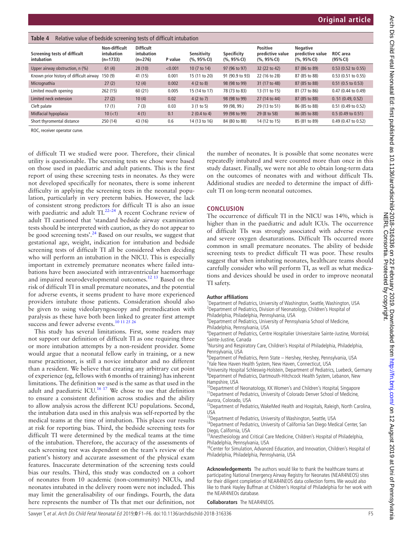<span id="page-4-0"></span>

| Table 4<br>Relative value of bedside screening tests of difficult intubation |                                           |                                             |         |                               |                               |                                                       |                                                       |                              |
|------------------------------------------------------------------------------|-------------------------------------------|---------------------------------------------|---------|-------------------------------|-------------------------------|-------------------------------------------------------|-------------------------------------------------------|------------------------------|
| Screening tests of difficult<br>intubation                                   | Non-difficult<br>intubation<br>$(n=1733)$ | <b>Difficult</b><br>intubation<br>$(n=276)$ | P value | Sensitivity<br>$(%, 95\%$ CI) | Specificity<br>$(%, 95\%$ CI) | <b>Positive</b><br>predictive value<br>$(%, 95\%$ CI) | <b>Negative</b><br>predictive value<br>$(%, 95\%$ CI) | ROC area<br>(95% CI)         |
| Upper airway obstruction, n (%)                                              | 61(4)                                     | 28(10)                                      | < 0.001 | 10 (7 to 14)                  | 97 (96 to 97)                 | 32 (22 to 42)                                         | 87 (86 to 89)                                         | $0.53$ (0.52 to 0.55)        |
| Known prior history of difficult airway                                      | 150 (9)                                   | 41 (15)                                     | 0.001   | 15 (11 to 20)                 | 91 (90.9 to 93)               | 22 (16 to 28)                                         | 87 (85 to 88)                                         | 0.53 (0.51 to 0.55)          |
| Micrognathia                                                                 | 27(2)                                     | 12(4)                                       | 0.002   | $4(2 \text{ to } 8)$          | 98 (98 to 99)                 | 31 (17 to 48)                                         | 87 (85 to 88)                                         | $0.51$ (0.5 to 0.53)         |
| Limited mouth opening                                                        | 262 (15)                                  | 60(21)                                      | 0.005   | 15 (14 to 17)                 | 78 (73 to 83)                 | 13 (11 to 15)                                         | 81 (77 to 86)                                         | 0.47 (0.44 to 0.49)          |
| Limited neck extension                                                       | 27(2)                                     | 10(4)                                       | 0.02    | 4(2 to 7)                     | 98 (98 to 99)                 | 27 (14 to 44)                                         | 87 (85 to 88)                                         | 0.51(0.49, 0.52)             |
| Cleft palate                                                                 | 17(1)                                     | 7(3)                                        | 0.03    | 3(1 to 5)                     | 99 (98, 99.)                  | 29 (13 to 51)                                         | 86 (85 to 88)                                         | 0.51 (0.49 to 0.52)          |
| Midfacial hypoplasia                                                         | $10 (=1)$                                 | 4(1)                                        | 0.1     | $2(0.4 \text{ to } 4)$        | 99 (98 to 99)                 | 29 (8 to 58)                                          | 86 (85 to 88)                                         | $0.5(0.49 \text{ to } 0.51)$ |
| Short thyromental distance                                                   | 250 (14)                                  | 43 (16)                                     | 0.6     | 14 (13 to 16)                 | 84 (80 to 88)                 | 14 (12 to 15)                                         | 85 (81 to 89)                                         | 0.49 (0.47 to 0.52)          |

ROC, receiver operator curve.

of difficult TI we studied were poor. Therefore, their clinical utility is questionable. The screening tests we chose were based on those used in paediatric and adult patients. This is the first report of using these screening tests in neonates. As they were not developed specifically for neonates, there is some inherent difficulty in applying the screening tests in the neonatal population, particularly in very preterm babies. However, the lack of consistent strong predictors for difficult TI is also an issue with paediatric and adult TI.<sup>22-24</sup> A recent Cochrane review of adult TI cautioned that 'standard bedside airway examination tests should be interpreted with caution, as they do not appear to be good screening tests'.<sup>[24](#page-5-14)</sup> Based on our results, we suggest that gestational age, weight, indication for intubation and bedside screening tests of difficult TI all be considered when deciding who will perform an intubation in the NICU. This is especially important in extremely premature neonates where failed intubations have been associated with intraventricular haemorrhage and impaired neurodevelopmental outcomes.[12 13](#page-5-4) Based on the risk of difficult TI in small premature neonates, and the potential for adverse events, it seems prudent to have more experienced providers intubate those patients. Consideration should also be given to using videolaryngoscopy and premedication with paralysis as these have both been linked to greater first attempt success and fewer adverse events[.10 11 25 26](#page-5-3)

This study has several limitations. First, some readers may not support our definition of difficult TI as one requiring three or more intubation attempts by a non-resident provider. Some would argue that a neonatal fellow early in training, or a new nurse practitioner, is still a novice intubator and no different than a resident. We believe that creating any arbitrary cut point of experience (eg, fellows with 6months of training) has inherent limitations. The definition we used is the same as that used in the adult and paediatric ICU.<sup>[16 17](#page-5-7)</sup> We chose to use that definition to ensure a consistent definition across studies and the ability to allow analysis across the different ICU populations. Second, the intubation data used in this analysis was self-reported by the medical teams at the time of intubation. This places our results at risk for reporting bias. Third, the bedside screening tests for difficult TI were determined by the medical teams at the time of the intubation. Therefore, the accuracy of the assessments of each screening test was dependent on the team's review of the patient's history and accurate assessment of the physical exam features. Inaccurate determination of the screening tests could bias our results. Third, this study was conducted on a cohort of neonates from 10 academic (non-community) NICUs, and neonates intubated in the delivery room were not included. This may limit the generalisability of our findings. Fourth, the data here represents the number of TIs that met our definition, not

the number of neonates. It is possible that some neonates were repeatedly intubated and were counted more than once in this study dataset. Finally, we were not able to obtain long-term data on the outcomes of neonates with and without difficult TIs. Additional studies are needed to determine the impact of difficult TI on long-term neonatal outcomes.

#### **Conclusion**

The occurrence of difficult TI in the NICU was 14%, which is higher than in the paediatric and adult ICUs. The occurrence of difficult TIs was strongly associated with adverse events and severe oxygen desaturations. Difficult TIs occurred more common in small premature neonates. The ability of bedside screening tests to predict difficult TI was poor. These results suggest that when intubating neonates, healthcare teams should carefully consider who will perform TI, as well as what medications and devices should be used in order to improve neonatal TI safety.

#### **Author affiliations**

<sup>1</sup>Department of Pediatrics, University of Washington, Seattle, Washington, USA <sup>2</sup> Department of Pediatrics, Division of Neonatology, Children's Hospital of Philadelphia, Philadelphia, Pennsylvania, USA

<sup>3</sup>Department of Pediatrics, University of Pennsylvania School of Medicine, Philadelphia, Pennsylvania, USA

4 Department of Pediatrics, Centre Hospitalier Universitaire Sainte-Justine, Montréal, Sainte-Justine, Canada

<sup>5</sup>Nursing and Respiratory Care, Children's Hospital of Philadelphia, Philadelphia, Pennsylvania, USA

6 Department of Pediatrics, Penn State – Hershey, Hershey, Pennsylvania, USA <sup>7</sup>Yale New Haven Health System, New Haven, Connecticut, USA

<sup>8</sup>University Hospital Schleswig-Holstein, Department of Pediatrics, Luebeck, Germany <sup>9</sup>Department of Pediatrics, Dartmouth-Hitchcock Health System, Lebanon, New Hampshire, USA

 $0$ Department of Neonatology, KK Women's and Children's Hospital, Singapore <sup>11</sup>Department of Pediatrics, University of Colorado Denver School of Medicine, Aurora, Colorado, USA

<sup>12</sup>Department of Pediatrics, WakeMed Health and Hospitals, Raleigh, North Carolina, USA

<sup>13</sup> Department of Pediatrics, University of Washington, Seattle, USA

<sup>14</sup>Department of Pediatrics, University of California San Diego Medical Center, San Diego, California, USA

<sup>15</sup> Anesthesiology and Critical Care Medicine, Children's Hospital of Philadelphia, Philadelphia, Pennsylvania, USA

<sup>16</sup>Center for Simulation, Advanced Education, and Innovation, Children's Hospital of Philadelphia, Philadelphia, Pennsylvania, USA

**Acknowledgements** The authors would like to thank the healthcare teams at participating National Emergency Airway Registry for Neonates (NEAR4NEOS) sites for their diligent completion of NEAR4NEOS data collection forms. We would also like to thank Hayley Buffman at Children's Hospital of Philadelphia for her work with the NEAR4NEOs database.

**Collaborators** The NEAR4NEOS.